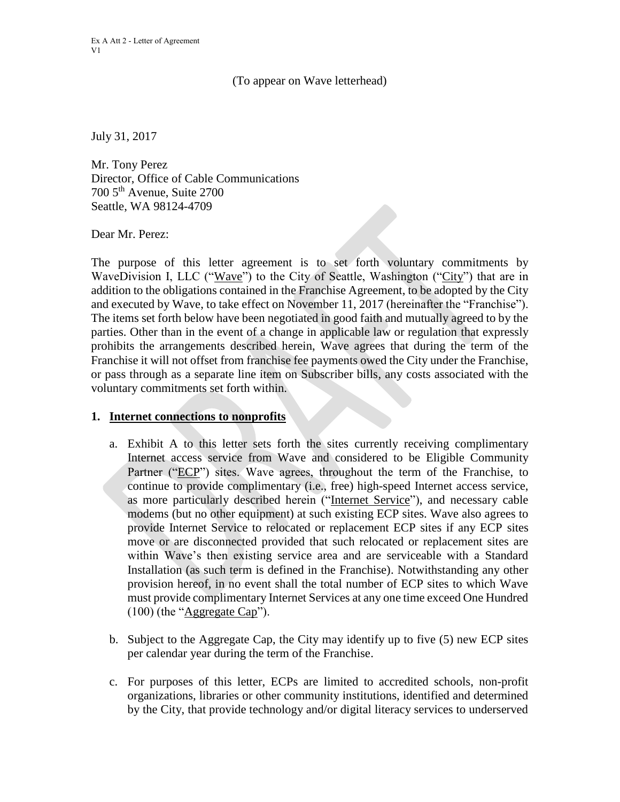## (To appear on Wave letterhead)

July 31, 2017

Mr. Tony Perez Director, Office of Cable Communications 700 5th Avenue, Suite 2700 Seattle, WA 98124-4709

Dear Mr. Perez:

The purpose of this letter agreement is to set forth voluntary commitments by WaveDivision I, LLC ("Wave") to the City of Seattle, Washington ("City") that are in addition to the obligations contained in the Franchise Agreement, to be adopted by the City and executed by Wave, to take effect on November 11, 2017 (hereinafter the "Franchise"). The items set forth below have been negotiated in good faith and mutually agreed to by the parties. Other than in the event of a change in applicable law or regulation that expressly prohibits the arrangements described herein, Wave agrees that during the term of the Franchise it will not offset from franchise fee payments owed the City under the Franchise, or pass through as a separate line item on Subscriber bills, any costs associated with the voluntary commitments set forth within.

## **1. Internet connections to nonprofits**

- a. Exhibit A to this letter sets forth the sites currently receiving complimentary Internet access service from Wave and considered to be Eligible Community Partner ("ECP") sites. Wave agrees, throughout the term of the Franchise, to continue to provide complimentary (i.e., free) high-speed Internet access service, as more particularly described herein ("Internet Service"), and necessary cable modems (but no other equipment) at such existing ECP sites. Wave also agrees to provide Internet Service to relocated or replacement ECP sites if any ECP sites move or are disconnected provided that such relocated or replacement sites are within Wave's then existing service area and are serviceable with a Standard Installation (as such term is defined in the Franchise). Notwithstanding any other provision hereof, in no event shall the total number of ECP sites to which Wave must provide complimentary Internet Services at any one time exceed One Hundred (100) (the "Aggregate Cap").
- b. Subject to the Aggregate Cap, the City may identify up to five (5) new ECP sites per calendar year during the term of the Franchise.
- c. For purposes of this letter, ECPs are limited to accredited schools, non-profit organizations, libraries or other community institutions, identified and determined by the City, that provide technology and/or digital literacy services to underserved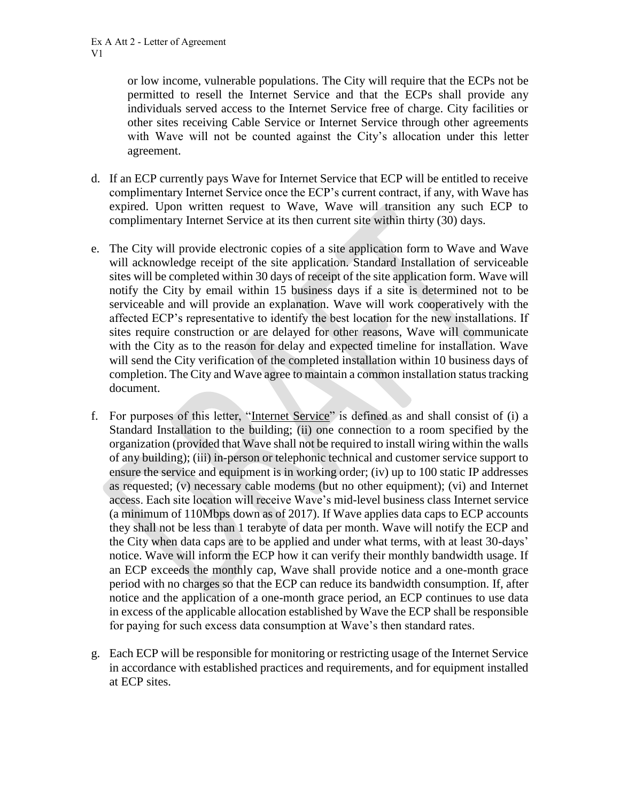or low income, vulnerable populations. The City will require that the ECPs not be permitted to resell the Internet Service and that the ECPs shall provide any individuals served access to the Internet Service free of charge. City facilities or other sites receiving Cable Service or Internet Service through other agreements with Wave will not be counted against the City's allocation under this letter agreement.

- d. If an ECP currently pays Wave for Internet Service that ECP will be entitled to receive complimentary Internet Service once the ECP's current contract, if any, with Wave has expired. Upon written request to Wave, Wave will transition any such ECP to complimentary Internet Service at its then current site within thirty (30) days.
- e. The City will provide electronic copies of a site application form to Wave and Wave will acknowledge receipt of the site application. Standard Installation of serviceable sites will be completed within 30 days of receipt of the site application form. Wave will notify the City by email within 15 business days if a site is determined not to be serviceable and will provide an explanation. Wave will work cooperatively with the affected ECP's representative to identify the best location for the new installations. If sites require construction or are delayed for other reasons, Wave will communicate with the City as to the reason for delay and expected timeline for installation. Wave will send the City verification of the completed installation within 10 business days of completion. The City and Wave agree to maintain a common installation status tracking document.
- f. For purposes of this letter, "Internet Service" is defined as and shall consist of (i) a Standard Installation to the building; (ii) one connection to a room specified by the organization (provided that Wave shall not be required to install wiring within the walls of any building); (iii) in-person or telephonic technical and customer service support to ensure the service and equipment is in working order; (iv) up to 100 static IP addresses as requested; (v) necessary cable modems (but no other equipment); (vi) and Internet access. Each site location will receive Wave's mid-level business class Internet service (a minimum of 110Mbps down as of 2017). If Wave applies data caps to ECP accounts they shall not be less than 1 terabyte of data per month. Wave will notify the ECP and the City when data caps are to be applied and under what terms, with at least 30-days' notice. Wave will inform the ECP how it can verify their monthly bandwidth usage. If an ECP exceeds the monthly cap, Wave shall provide notice and a one-month grace period with no charges so that the ECP can reduce its bandwidth consumption. If, after notice and the application of a one-month grace period, an ECP continues to use data in excess of the applicable allocation established by Wave the ECP shall be responsible for paying for such excess data consumption at Wave's then standard rates.
- g. Each ECP will be responsible for monitoring or restricting usage of the Internet Service in accordance with established practices and requirements, and for equipment installed at ECP sites.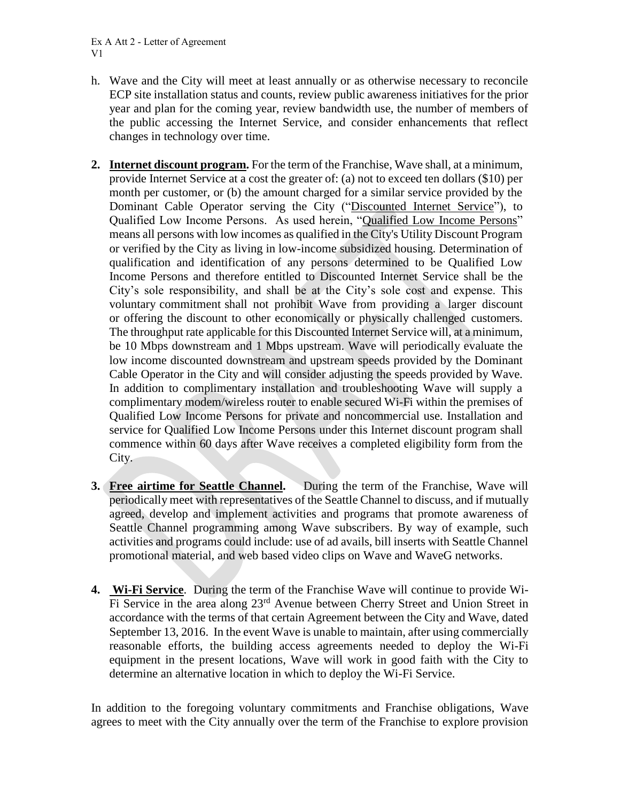Ex A Att 2 - Letter of Agreement V1

- h. Wave and the City will meet at least annually or as otherwise necessary to reconcile ECP site installation status and counts, review public awareness initiatives for the prior year and plan for the coming year, review bandwidth use, the number of members of the public accessing the Internet Service, and consider enhancements that reflect changes in technology over time.
- **2. Internet discount program.** For the term of the Franchise, Wave shall, at a minimum, provide Internet Service at a cost the greater of: (a) not to exceed ten dollars (\$10) per month per customer, or (b) the amount charged for a similar service provided by the Dominant Cable Operator serving the City ("Discounted Internet Service"), to Qualified Low Income Persons. As used herein, "Qualified Low Income Persons" means all persons with low incomes as qualified in the City's Utility Discount Program or verified by the City as living in low-income subsidized housing. Determination of qualification and identification of any persons determined to be Qualified Low Income Persons and therefore entitled to Discounted Internet Service shall be the City's sole responsibility, and shall be at the City's sole cost and expense. This voluntary commitment shall not prohibit Wave from providing a larger discount or offering the discount to other economically or physically challenged customers. The throughput rate applicable for this Discounted Internet Service will, at a minimum, be 10 Mbps downstream and 1 Mbps upstream. Wave will periodically evaluate the low income discounted downstream and upstream speeds provided by the Dominant Cable Operator in the City and will consider adjusting the speeds provided by Wave. In addition to complimentary installation and troubleshooting Wave will supply a complimentary modem/wireless router to enable secured Wi-Fi within the premises of Qualified Low Income Persons for private and noncommercial use. Installation and service for Qualified Low Income Persons under this Internet discount program shall commence within 60 days after Wave receives a completed eligibility form from the City.
- **3. Free airtime for Seattle Channel.** During the term of the Franchise, Wave will periodically meet with representatives of the Seattle Channel to discuss, and if mutually agreed, develop and implement activities and programs that promote awareness of Seattle Channel programming among Wave subscribers. By way of example, such activities and programs could include: use of ad avails, bill inserts with Seattle Channel promotional material, and web based video clips on Wave and WaveG networks.
- **4. Wi-Fi Service**. During the term of the Franchise Wave will continue to provide Wi-Fi Service in the area along 23<sup>rd</sup> Avenue between Cherry Street and Union Street in accordance with the terms of that certain Agreement between the City and Wave, dated September 13, 2016. In the event Wave is unable to maintain, after using commercially reasonable efforts, the building access agreements needed to deploy the Wi-Fi equipment in the present locations, Wave will work in good faith with the City to determine an alternative location in which to deploy the Wi-Fi Service.

In addition to the foregoing voluntary commitments and Franchise obligations, Wave agrees to meet with the City annually over the term of the Franchise to explore provision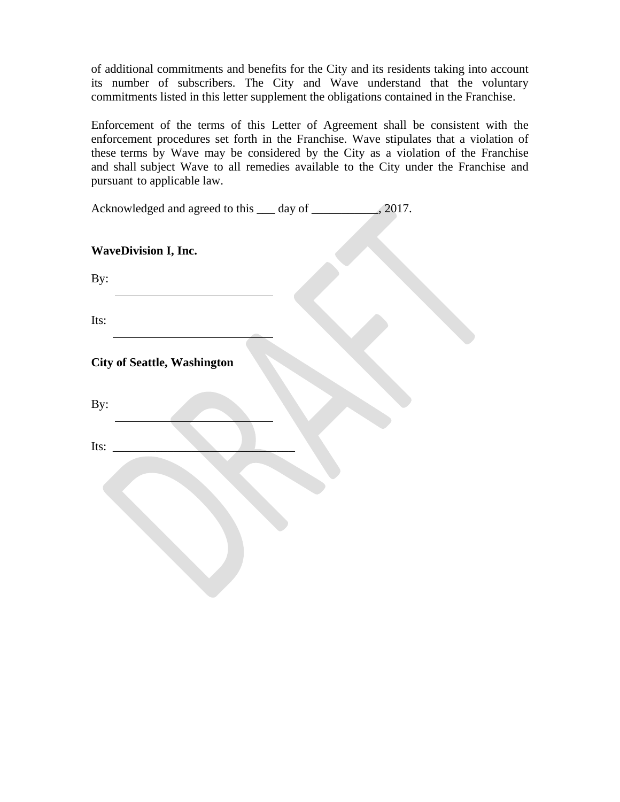of additional commitments and benefits for the City and its residents taking into account its number of subscribers. The City and Wave understand that the voluntary commitments listed in this letter supplement the obligations contained in the Franchise.

Enforcement of the terms of this Letter of Agreement shall be consistent with the enforcement procedures set forth in the Franchise. Wave stipulates that a violation of these terms by Wave may be considered by the City as a violation of the Franchise and shall subject Wave to all remedies available to the City under the Franchise and pursuant to applicable law.

| Acknowledged and agreed to this ____ day of ______________, 2017. |  |  |
|-------------------------------------------------------------------|--|--|
| <b>WaveDivision I, Inc.</b>                                       |  |  |
| By:                                                               |  |  |
| Its:                                                              |  |  |
| <b>City of Seattle, Washington</b>                                |  |  |
| By:                                                               |  |  |
| Its:                                                              |  |  |
|                                                                   |  |  |
|                                                                   |  |  |
|                                                                   |  |  |
|                                                                   |  |  |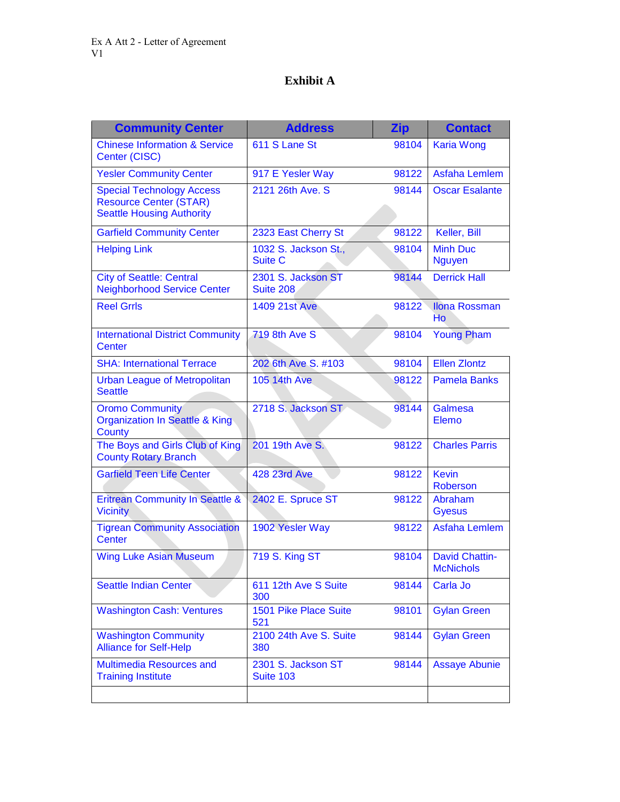## **Exhibit A**

| <b>Community Center</b>                                                                               | <b>Address</b>                         | <b>Zip</b> | <b>Contact</b>                            |
|-------------------------------------------------------------------------------------------------------|----------------------------------------|------------|-------------------------------------------|
| <b>Chinese Information &amp; Service</b><br>Center (CISC)                                             | 611 S Lane St                          | 98104      | <b>Karia Wong</b>                         |
| <b>Yesler Community Center</b>                                                                        | 917 E Yesler Way                       | 98122      | <b>Asfaha Lemlem</b>                      |
| <b>Special Technology Access</b><br><b>Resource Center (STAR)</b><br><b>Seattle Housing Authority</b> | 2121 26th Ave. S                       | 98144      | <b>Oscar Esalante</b>                     |
| <b>Garfield Community Center</b>                                                                      | 2323 East Cherry St                    | 98122      | Keller, Bill                              |
| <b>Helping Link</b>                                                                                   | 1032 S. Jackson St.,<br><b>Suite C</b> | 98104      | <b>Minh Duc</b><br><b>Nguyen</b>          |
| <b>City of Seattle: Central</b><br><b>Neighborhood Service Center</b>                                 | 2301 S. Jackson ST<br><b>Suite 208</b> | 98144      | <b>Derrick Hall</b>                       |
| <b>Reel Grrls</b>                                                                                     | <b>1409 21st Ave</b>                   | 98122      | <b>Ilona Rossman</b><br>Ho                |
| <b>International District Community</b><br>Center                                                     | 719 8th Ave S                          | 98104      | <b>Young Pham</b>                         |
| <b>SHA: International Terrace</b>                                                                     | 202 6th Ave S. #103                    | 98104      | <b>Ellen Zlontz</b>                       |
| <b>Urban League of Metropolitan</b><br><b>Seattle</b>                                                 | <b>105 14th Ave</b>                    | 98122      | <b>Pamela Banks</b>                       |
| <b>Oromo Community</b><br><b>Organization In Seattle &amp; King</b><br>County                         | 2718 S. Jackson ST                     | 98144      | Galmesa<br>Elemo                          |
| The Boys and Girls Club of King<br><b>County Rotary Branch</b>                                        | 201 19th Ave S.                        | 98122      | <b>Charles Parris</b>                     |
| <b>Garfield Teen Life Center</b>                                                                      | <b>428 23rd Ave</b>                    | 98122      | <b>Kevin</b><br><b>Roberson</b>           |
| <b>Eritrean Community In Seattle &amp;</b><br><b>Vicinity</b>                                         | 2402 E. Spruce ST                      | 98122      | Abraham<br><b>Gyesus</b>                  |
| <b>Tigrean Community Association</b><br><b>Center</b>                                                 | 1902 Yesler Way                        | 98122      | <b>Asfaha Lemlem</b>                      |
| <b>Wing Luke Asian Museum</b>                                                                         | 719 S. King ST                         | 98104      | <b>David Chattin-</b><br><b>McNichols</b> |
| <b>Seattle Indian Center</b>                                                                          | 611 12th Ave S Suite<br>300            | 98144      | Carla Jo                                  |
| <b>Washington Cash: Ventures</b>                                                                      | 1501 Pike Place Suite<br>521           | 98101      | <b>Gylan Green</b>                        |
| <b>Washington Community</b><br><b>Alliance for Self-Help</b>                                          | 2100 24th Ave S. Suite<br>380          | 98144      | <b>Gylan Green</b>                        |
| Multimedia Resources and<br><b>Training Institute</b>                                                 | 2301 S. Jackson ST<br><b>Suite 103</b> | 98144      | <b>Assaye Abunie</b>                      |
|                                                                                                       |                                        |            |                                           |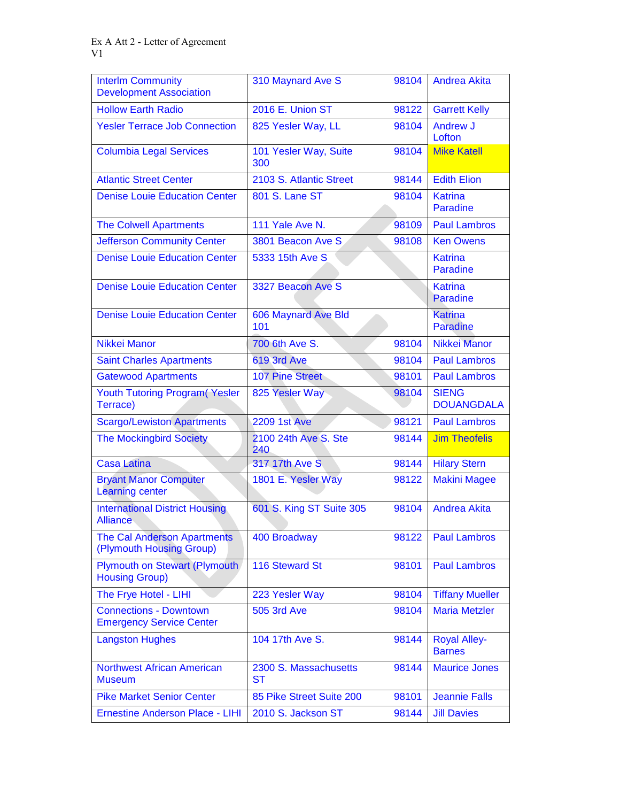| <b>Interlm Community</b><br><b>Development Association</b>       | 310 Maynard Ave S            | 98104 | <b>Andrea Akita</b>                  |
|------------------------------------------------------------------|------------------------------|-------|--------------------------------------|
| <b>Hollow Earth Radio</b>                                        | 2016 E. Union ST             | 98122 | <b>Garrett Kelly</b>                 |
| <b>Yesler Terrace Job Connection</b>                             | 825 Yesler Way, LL           | 98104 | Andrew J<br>Lofton                   |
| <b>Columbia Legal Services</b>                                   | 101 Yesler Way, Suite<br>300 | 98104 | <b>Mike Katell</b>                   |
| <b>Atlantic Street Center</b>                                    | 2103 S. Atlantic Street      | 98144 | <b>Edith Elion</b>                   |
| <b>Denise Louie Education Center</b>                             | 801 S. Lane ST               | 98104 | <b>Katrina</b><br><b>Paradine</b>    |
| <b>The Colwell Apartments</b>                                    | 111 Yale Ave N.              | 98109 | <b>Paul Lambros</b>                  |
| <b>Jefferson Community Center</b>                                | 3801 Beacon Ave S            | 98108 | <b>Ken Owens</b>                     |
| <b>Denise Louie Education Center</b>                             | 5333 15th Ave S              |       | <b>Katrina</b><br><b>Paradine</b>    |
| <b>Denise Louie Education Center</b>                             | 3327 Beacon Ave S            |       | <b>Katrina</b><br><b>Paradine</b>    |
| <b>Denise Louie Education Center</b>                             | 606 Maynard Ave Bld<br>101   |       | <b>Katrina</b><br><b>Paradine</b>    |
| Nikkei Manor                                                     | 700 6th Ave S.               | 98104 | Nikkei Manor                         |
| <b>Saint Charles Apartments</b>                                  | 619 3rd Ave                  | 98104 | <b>Paul Lambros</b>                  |
| <b>Gatewood Apartments</b>                                       | <b>107 Pine Street</b>       | 98101 | <b>Paul Lambros</b>                  |
| <b>Youth Tutoring Program (Yesler</b><br>Terrace)                | 825 Yesler Way               | 98104 | <b>SIENG</b><br><b>DOUANGDALA</b>    |
| <b>Scargo/Lewiston Apartments</b>                                | <b>2209 1st Ave</b>          | 98121 | <b>Paul Lambros</b>                  |
| <b>The Mockingbird Society</b>                                   | 2100 24th Ave S. Ste<br>240  | 98144 | <b>Jim Theofelis</b>                 |
| <b>Casa Latina</b>                                               | 317 17th Ave S               | 98144 | <b>Hilary Stern</b>                  |
| <b>Bryant Manor Computer</b><br><b>Learning center</b>           | 1801 E. Yesler Way           | 98122 | <b>Makini Magee</b>                  |
| <b>International District Housing</b><br><b>Alliance</b>         | 601 S. King ST Suite 305     | 98104 | <b>Andrea Akita</b>                  |
| <b>The Cal Anderson Apartments</b><br>(Plymouth Housing Group)   | 400 Broadway                 | 98122 | <b>Paul Lambros</b>                  |
| Plymouth on Stewart (Plymouth)<br><b>Housing Group)</b>          | <b>116 Steward St</b>        | 98101 | <b>Paul Lambros</b>                  |
| The Frye Hotel - LIHI                                            | 223 Yesler Way               | 98104 | <b>Tiffany Mueller</b>               |
| <b>Connections - Downtown</b><br><b>Emergency Service Center</b> | <b>505 3rd Ave</b>           | 98104 | <b>Maria Metzler</b>                 |
| <b>Langston Hughes</b>                                           | 104 17th Ave S.              | 98144 | <b>Royal Alley-</b><br><b>Barnes</b> |
| <b>Northwest African American</b><br><b>Museum</b>               | 2300 S. Massachusetts<br>ST  | 98144 | <b>Maurice Jones</b>                 |
| <b>Pike Market Senior Center</b>                                 | 85 Pike Street Suite 200     | 98101 | <b>Jeannie Falls</b>                 |
| <b>Ernestine Anderson Place - LIHI</b>                           | 2010 S. Jackson ST           | 98144 | <b>Jill Davies</b>                   |